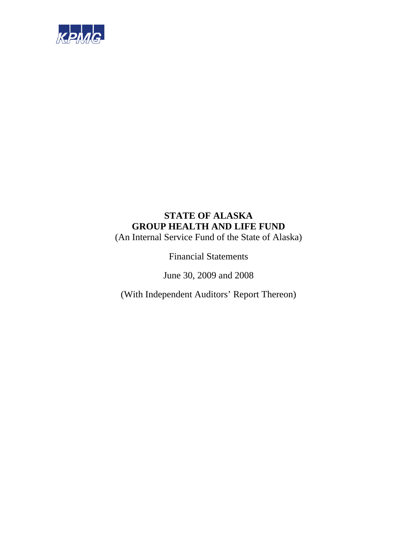

# **STATE OF ALASKA GROUP HEALTH AND LIFE FUND**

(An Internal Service Fund of the State of Alaska)

Financial Statements

June 30, 2009 and 2008

(With Independent Auditors' Report Thereon)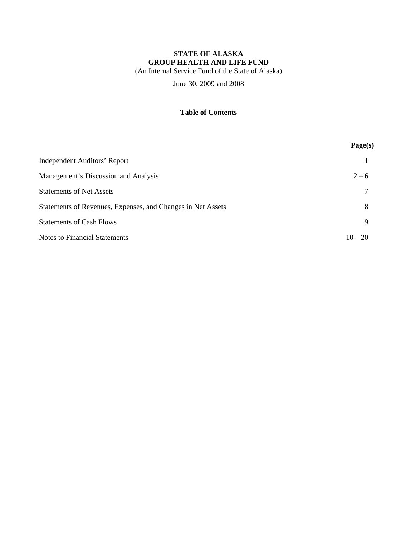## **STATE OF ALASKA GROUP HEALTH AND LIFE FUND**

(An Internal Service Fund of the State of Alaska)

June 30, 2009 and 2008

## **Table of Contents**

|                                                             | Page(s)   |
|-------------------------------------------------------------|-----------|
| Independent Auditors' Report                                |           |
| Management's Discussion and Analysis                        | $2 - 6$   |
| <b>Statements of Net Assets</b>                             |           |
| Statements of Revenues, Expenses, and Changes in Net Assets | 8         |
| <b>Statements of Cash Flows</b>                             | 9         |
| Notes to Financial Statements                               | $10 - 20$ |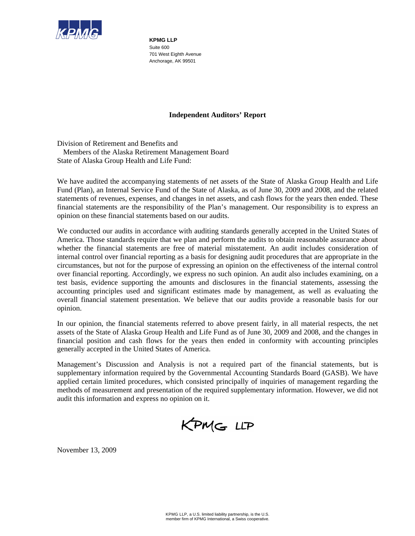

**KPMG LLP**  Suite 600 701 West Eighth Avenue Anchorage, AK 99501

#### **Independent Auditors' Report**

Division of Retirement and Benefits and Members of the Alaska Retirement Management Board State of Alaska Group Health and Life Fund:

We have audited the accompanying statements of net assets of the State of Alaska Group Health and Life Fund (Plan), an Internal Service Fund of the State of Alaska, as of June 30, 2009 and 2008, and the related statements of revenues, expenses, and changes in net assets, and cash flows for the years then ended. These financial statements are the responsibility of the Plan's management. Our responsibility is to express an opinion on these financial statements based on our audits.

We conducted our audits in accordance with auditing standards generally accepted in the United States of America. Those standards require that we plan and perform the audits to obtain reasonable assurance about whether the financial statements are free of material misstatement. An audit includes consideration of internal control over financial reporting as a basis for designing audit procedures that are appropriate in the circumstances, but not for the purpose of expressing an opinion on the effectiveness of the internal control over financial reporting. Accordingly, we express no such opinion. An audit also includes examining, on a test basis, evidence supporting the amounts and disclosures in the financial statements, assessing the accounting principles used and significant estimates made by management, as well as evaluating the overall financial statement presentation. We believe that our audits provide a reasonable basis for our opinion.

In our opinion, the financial statements referred to above present fairly, in all material respects, the net assets of the State of Alaska Group Health and Life Fund as of June 30, 2009 and 2008, and the changes in financial position and cash flows for the years then ended in conformity with accounting principles generally accepted in the United States of America.

Management's Discussion and Analysis is not a required part of the financial statements, but is supplementary information required by the Governmental Accounting Standards Board (GASB). We have applied certain limited procedures, which consisted principally of inquiries of management regarding the methods of measurement and presentation of the required supplementary information. However, we did not audit this information and express no opinion on it.

KPMG LLP

November 13, 2009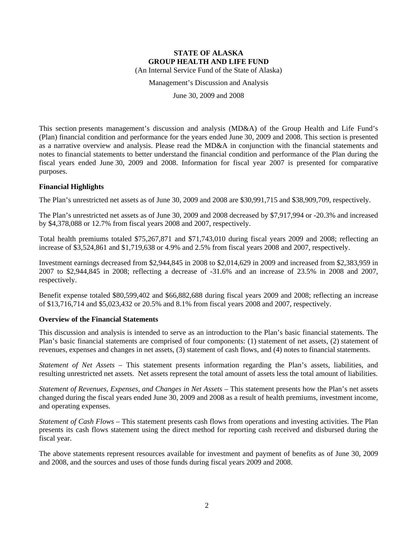Management's Discussion and Analysis

June 30, 2009 and 2008

This section presents management's discussion and analysis (MD&A) of the Group Health and Life Fund's (Plan) financial condition and performance for the years ended June 30, 2009 and 2008. This section is presented as a narrative overview and analysis. Please read the MD&A in conjunction with the financial statements and notes to financial statements to better understand the financial condition and performance of the Plan during the fiscal years ended June 30, 2009 and 2008. Information for fiscal year 2007 is presented for comparative purposes.

#### **Financial Highlights**

The Plan's unrestricted net assets as of June 30, 2009 and 2008 are \$30,991,715 and \$38,909,709, respectively.

The Plan's unrestricted net assets as of June 30, 2009 and 2008 decreased by \$7,917,994 or -20.3% and increased by \$4,378,088 or 12.7% from fiscal years 2008 and 2007, respectively.

Total health premiums totaled \$75,267,871 and \$71,743,010 during fiscal years 2009 and 2008; reflecting an increase of \$3,524,861 and \$1,719,638 or 4.9% and 2.5% from fiscal years 2008 and 2007, respectively.

Investment earnings decreased from \$2,944,845 in 2008 to \$2,014,629 in 2009 and increased from \$2,383,959 in 2007 to \$2,944,845 in 2008; reflecting a decrease of -31.6% and an increase of 23.5% in 2008 and 2007, respectively.

Benefit expense totaled \$80,599,402 and \$66,882,688 during fiscal years 2009 and 2008; reflecting an increase of \$13,716,714 and \$5,023,432 or 20.5% and 8.1% from fiscal years 2008 and 2007, respectively.

#### **Overview of the Financial Statements**

This discussion and analysis is intended to serve as an introduction to the Plan's basic financial statements. The Plan's basic financial statements are comprised of four components: (1) statement of net assets, (2) statement of revenues, expenses and changes in net assets, (3) statement of cash flows, and (4) notes to financial statements.

*Statement of Net Assets* – This statement presents information regarding the Plan's assets, liabilities, and resulting unrestricted net assets. Net assets represent the total amount of assets less the total amount of liabilities.

*Statement of Revenues, Expenses, and Changes in Net Assets* – This statement presents how the Plan's net assets changed during the fiscal years ended June 30, 2009 and 2008 as a result of health premiums, investment income, and operating expenses.

*Statement of Cash Flows* – This statement presents cash flows from operations and investing activities. The Plan presents its cash flows statement using the direct method for reporting cash received and disbursed during the fiscal year.

The above statements represent resources available for investment and payment of benefits as of June 30, 2009 and 2008, and the sources and uses of those funds during fiscal years 2009 and 2008.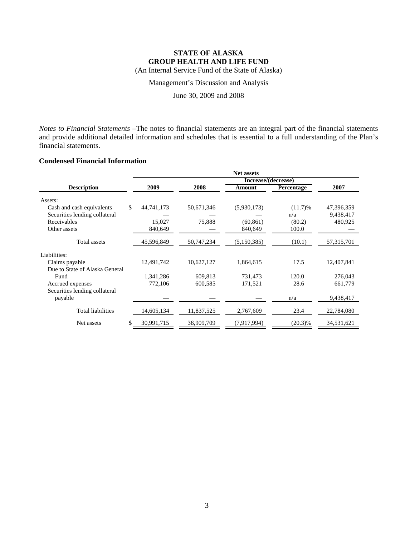Management's Discussion and Analysis

June 30, 2009 and 2008

*Notes to Financial Statements* –The notes to financial statements are an integral part of the financial statements and provide additional detailed information and schedules that is essential to a full understanding of the Plan's financial statements.

### **Condensed Financial Information**

|                                |     |            |            | <b>Net assets</b>   |            |            |
|--------------------------------|-----|------------|------------|---------------------|------------|------------|
|                                |     |            |            | Increase/(decrease) |            |            |
| <b>Description</b>             |     | 2009       | 2008       | Amount              | Percentage | 2007       |
| Assets:                        |     |            |            |                     |            |            |
| Cash and cash equivalents      | \$. | 44,741,173 | 50,671,346 | (5,930,173)         | (11.7)%    | 47,396,359 |
| Securities lending collateral  |     |            |            |                     | n/a        | 9,438,417  |
| Receivables                    |     | 15,027     | 75,888     | (60, 861)           | (80.2)     | 480,925    |
| Other assets                   |     | 840,649    |            | 840,649             | 100.0      |            |
| Total assets                   |     | 45,596,849 | 50,747,234 | (5,150,385)         | (10.1)     | 57,315,701 |
| Liabilities:                   |     |            |            |                     |            |            |
| Claims payable                 |     | 12,491,742 | 10,627,127 | 1,864,615           | 17.5       | 12,407,841 |
| Due to State of Alaska General |     |            |            |                     |            |            |
| Fund                           |     | 1,341,286  | 609,813    | 731,473             | 120.0      | 276,043    |
| Accrued expenses               |     | 772,106    | 600,585    | 171,521             | 28.6       | 661,779    |
| Securities lending collateral  |     |            |            |                     |            |            |
| payable                        |     |            |            |                     | n/a        | 9,438,417  |
| <b>Total liabilities</b>       |     | 14,605,134 | 11,837,525 | 2,767,609           | 23.4       | 22,784,080 |
| Net assets                     | S   | 30,991,715 | 38,909,709 | (7,917,994)         | $(20.3)\%$ | 34,531,621 |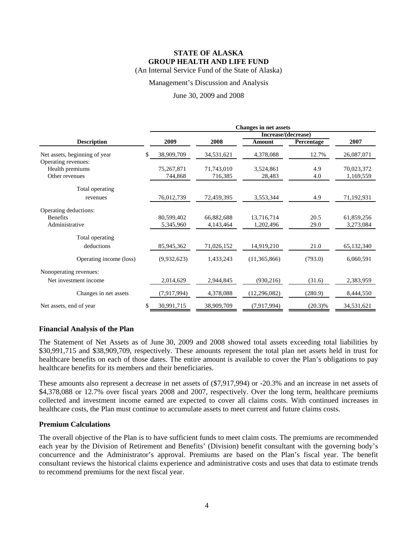Management's Discussion and Analysis

June 30, 2009 and 2008

|                                                      | <b>Changes in net assets</b> |             |            |                     |            |              |
|------------------------------------------------------|------------------------------|-------------|------------|---------------------|------------|--------------|
|                                                      |                              |             |            | Increase/(decrease) |            |              |
| <b>Description</b>                                   |                              | 2009        | 2008       | Amount              | Percentage | 2007         |
| Net assets, beginning of year<br>Operating revenues: | \$                           | 38,909,709  | 34,531,621 | 4,378,088           | 12.7%      | 26,087,071   |
| Health premiums                                      |                              | 75,267,871  | 71,743,010 | 3,524,861           | 4.9        | 70,023,372   |
| Other revenues                                       |                              | 744,868     | 716,385    | 28,483              | 4.0        | 1,169,559    |
| Total operating                                      |                              |             |            |                     |            |              |
| revenues                                             |                              | 76,012,739  | 72,459,395 | 3,553,344           | 4.9        | 71,192,931   |
| Operating deductions:                                |                              |             |            |                     |            |              |
| <b>Benefits</b>                                      |                              | 80,599,402  | 66,882,688 | 13,716,714          | 20.5       | 61,859,256   |
| Administrative                                       |                              | 5,345,960   | 4,143,464  | 1,202,496           | 29.0       | 3,273,084    |
| Total operating                                      |                              |             |            |                     |            |              |
| deductions                                           |                              | 85,945,362  | 71,026,152 | 14,919,210          | 21.0       | 65, 132, 340 |
| Operating income (loss)                              |                              | (9,932,623) | 1,433,243  | (11,365,866)        | (793.0)    | 6,060,591    |
| Nonoperating revenues:                               |                              |             |            |                     |            |              |
| Net investment income                                |                              | 2,014,629   | 2,944,845  | (930, 216)          | (31.6)     | 2,383,959    |
| Changes in net assets                                |                              | (7,917,994) | 4,378,088  | (12, 296, 082)      | (280.9)    | 8,444,550    |
| Net assets, end of year                              |                              | 30,991,715  | 38,909,709 | (7,917,994)         | $(20.3)\%$ | 34,531,621   |

#### **Financial Analysis of the Plan**

The Statement of Net Assets as of June 30, 2009 and 2008 showed total assets exceeding total liabilities by \$30,991,715 and \$38,909,709, respectively. These amounts represent the total plan net assets held in trust for healthcare benefits on each of those dates. The entire amount is available to cover the Plan's obligations to pay healthcare benefits for its members and their beneficiaries.

These amounts also represent a decrease in net assets of (\$7,917,994) or -20.3% and an increase in net assets of \$4,378,088 or 12.7% over fiscal years 2008 and 2007, respectively. Over the long term, healthcare premiums collected and investment income earned are expected to cover all claims costs. With continued increases in healthcare costs, the Plan must continue to accumulate assets to meet current and future claims costs.

#### **Premium Calculations**

The overall objective of the Plan is to have sufficient funds to meet claim costs. The premiums are recommended each year by the Division of Retirement and Benefits' (Division) benefit consultant with the governing body's concurrence and the Administrator's approval. Premiums are based on the Plan's fiscal year. The benefit consultant reviews the historical claims experience and administrative costs and uses that data to estimate trends to recommend premiums for the next fiscal year.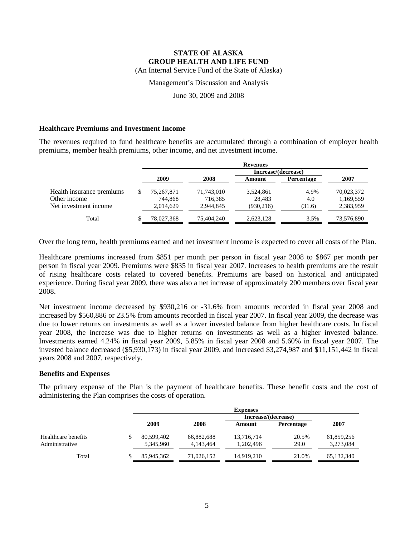Management's Discussion and Analysis

June 30, 2009 and 2008

#### **Healthcare Premiums and Investment Income**

The revenues required to fund healthcare benefits are accumulated through a combination of employer health premiums, member health premiums, other income, and net investment income.

|                           | <b>Revenues</b> |            |                     |            |            |  |
|---------------------------|-----------------|------------|---------------------|------------|------------|--|
|                           |                 |            | Increase/(decrease) |            |            |  |
|                           | 2009            | 2008       | Amount              | Percentage | 2007       |  |
| Health insurance premiums | 75,267,871      | 71,743,010 | 3,524,861           | 4.9%       | 70,023,372 |  |
| Other income              | 744.868         | 716,385    | 28,483              | 4.0        | 1,169,559  |  |
| Net investment income     | 2.014.629       | 2.944.845  | (930, 216)          | (31.6)     | 2,383,959  |  |
| Total                     | 78,027,368      | 75,404,240 | 2,623,128           | 3.5%       | 73,576,890 |  |

Over the long term, health premiums earned and net investment income is expected to cover all costs of the Plan.

Healthcare premiums increased from \$851 per month per person in fiscal year 2008 to \$867 per month per person in fiscal year 2009. Premiums were \$835 in fiscal year 2007. Increases to health premiums are the result of rising healthcare costs related to covered benefits. Premiums are based on historical and anticipated experience. During fiscal year 2009, there was also a net increase of approximately 200 members over fiscal year 2008.

Net investment income decreased by \$930,216 or -31.6% from amounts recorded in fiscal year 2008 and increased by \$560,886 or 23.5% from amounts recorded in fiscal year 2007. In fiscal year 2009, the decrease was due to lower returns on investments as well as a lower invested balance from higher healthcare costs. In fiscal year 2008, the increase was due to higher returns on investments as well as a higher invested balance. Investments earned 4.24% in fiscal year 2009, 5.85% in fiscal year 2008 and 5.60% in fiscal year 2007. The invested balance decreased (\$5,930,173) in fiscal year 2009, and increased \$3,274,987 and \$11,151,442 in fiscal years 2008 and 2007, respectively.

#### **Benefits and Expenses**

The primary expense of the Plan is the payment of healthcare benefits. These benefit costs and the cost of administering the Plan comprises the costs of operation.

|                     | <b>Expenses</b> |            |                     |                   |            |
|---------------------|-----------------|------------|---------------------|-------------------|------------|
|                     |                 |            | Increase/(decrease) |                   |            |
|                     | 2009            | 2008       | Amount              | <b>Percentage</b> | 2007       |
| Healthcare benefits | 80,599,402      | 66,882,688 | 13,716,714          | 20.5%             | 61,859,256 |
| Administrative      | 5,345,960       | 4,143,464  | 1,202,496           | 29.0              | 3,273,084  |
| Total               | 85,945,362      | 71.026.152 | 14,919,210          | 21.0%             | 65,132,340 |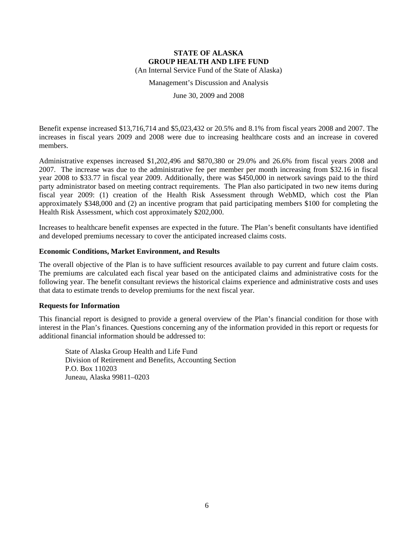Management's Discussion and Analysis

June 30, 2009 and 2008

Benefit expense increased \$13,716,714 and \$5,023,432 or 20.5% and 8.1% from fiscal years 2008 and 2007. The increases in fiscal years 2009 and 2008 were due to increasing healthcare costs and an increase in covered members.

Administrative expenses increased \$1,202,496 and \$870,380 or 29.0% and 26.6% from fiscal years 2008 and 2007. The increase was due to the administrative fee per member per month increasing from \$32.16 in fiscal year 2008 to \$33.77 in fiscal year 2009. Additionally, there was \$450,000 in network savings paid to the third party administrator based on meeting contract requirements. The Plan also participated in two new items during fiscal year 2009: (1) creation of the Health Risk Assessment through WebMD, which cost the Plan approximately \$348,000 and (2) an incentive program that paid participating members \$100 for completing the Health Risk Assessment, which cost approximately \$202,000.

Increases to healthcare benefit expenses are expected in the future. The Plan's benefit consultants have identified and developed premiums necessary to cover the anticipated increased claims costs.

#### **Economic Conditions, Market Environment, and Results**

The overall objective of the Plan is to have sufficient resources available to pay current and future claim costs. The premiums are calculated each fiscal year based on the anticipated claims and administrative costs for the following year. The benefit consultant reviews the historical claims experience and administrative costs and uses that data to estimate trends to develop premiums for the next fiscal year.

#### **Requests for Information**

This financial report is designed to provide a general overview of the Plan's financial condition for those with interest in the Plan's finances. Questions concerning any of the information provided in this report or requests for additional financial information should be addressed to:

State of Alaska Group Health and Life Fund Division of Retirement and Benefits, Accounting Section P.O. Box 110203 Juneau, Alaska 99811–0203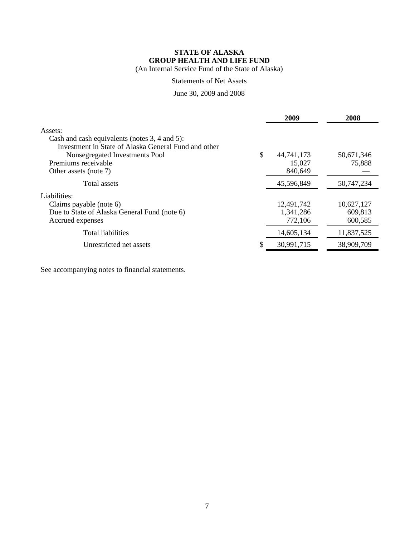## **STATE OF ALASKA GROUP HEALTH AND LIFE FUND**

(An Internal Service Fund of the State of Alaska)

## Statements of Net Assets

## June 30, 2009 and 2008

|                                                                                                                  | 2009                                  | 2008                             |
|------------------------------------------------------------------------------------------------------------------|---------------------------------------|----------------------------------|
| Assets:<br>Cash and cash equivalents (notes 3, 4 and 5):<br>Investment in State of Alaska General Fund and other |                                       |                                  |
| Nonsegregated Investments Pool<br>Premiums receivable<br>Other assets (note 7)                                   | \$<br>44,741,173<br>15,027<br>840,649 | 50,671,346<br>75,888             |
| Total assets                                                                                                     | 45,596,849                            | 50,747,234                       |
| Liabilities:<br>Claims payable (note 6)<br>Due to State of Alaska General Fund (note 6)<br>Accrued expenses      | 12,491,742<br>1,341,286<br>772,106    | 10,627,127<br>609,813<br>600,585 |
| <b>Total liabilities</b>                                                                                         | 14,605,134                            | 11,837,525                       |
| Unrestricted net assets                                                                                          | 30,991,715                            | 38,909,709                       |

See accompanying notes to financial statements.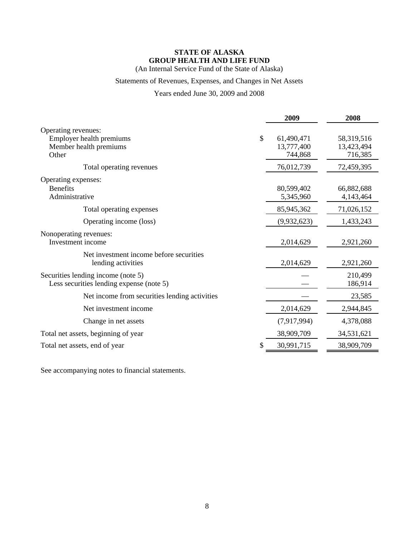## **STATE OF ALASKA GROUP HEALTH AND LIFE FUND**

(An Internal Service Fund of the State of Alaska)

## Statements of Revenues, Expenses, and Changes in Net Assets

Years ended June 30, 2009 and 2008

|                                               | 2009             | 2008       |
|-----------------------------------------------|------------------|------------|
| Operating revenues:                           |                  |            |
| Employer health premiums                      | \$<br>61,490,471 | 58,319,516 |
| Member health premiums                        | 13,777,400       | 13,423,494 |
| Other                                         | 744,868          | 716,385    |
| Total operating revenues                      | 76,012,739       | 72,459,395 |
| Operating expenses:                           |                  |            |
| <b>Benefits</b>                               | 80,599,402       | 66,882,688 |
| Administrative                                | 5,345,960        | 4,143,464  |
| Total operating expenses                      | 85,945,362       | 71,026,152 |
| Operating income (loss)                       | (9,932,623)      | 1,433,243  |
| Nonoperating revenues:                        |                  |            |
| Investment income                             | 2,014,629        | 2,921,260  |
| Net investment income before securities       |                  |            |
| lending activities                            | 2,014,629        | 2,921,260  |
| Securities lending income (note 5)            |                  | 210,499    |
| Less securities lending expense (note 5)      |                  | 186,914    |
| Net income from securities lending activities |                  | 23,585     |
| Net investment income                         | 2,014,629        | 2,944,845  |
| Change in net assets                          | (7,917,994)      | 4,378,088  |
| Total net assets, beginning of year           | 38,909,709       | 34,531,621 |
| Total net assets, end of year                 | 30,991,715       | 38,909,709 |

See accompanying notes to financial statements.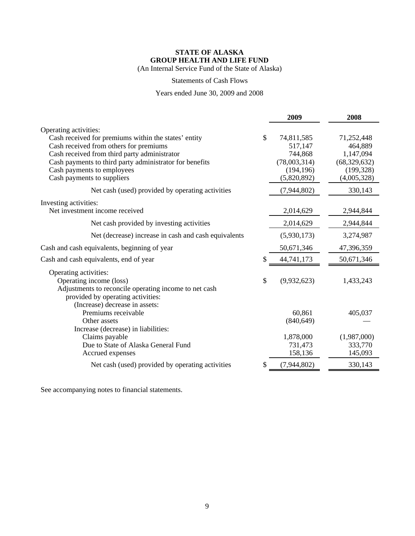## **STATE OF ALASKA GROUP HEALTH AND LIFE FUND**

(An Internal Service Fund of the State of Alaska)

## Statements of Cash Flows

#### Years ended June 30, 2009 and 2008

|                                                         |               | 2009         | 2008           |
|---------------------------------------------------------|---------------|--------------|----------------|
| Operating activities:                                   |               |              |                |
| Cash received for premiums within the states' entity    | \$            | 74,811,585   | 71,252,448     |
| Cash received from others for premiums                  |               | 517,147      | 464,889        |
| Cash received from third party administrator            |               | 744,868      | 1,147,094      |
| Cash payments to third party administrator for benefits |               | (78,003,314) | (68, 329, 632) |
| Cash payments to employees                              |               | (194, 196)   | (199, 328)     |
| Cash payments to suppliers                              |               | (5,820,892)  | (4,005,328)    |
| Net cash (used) provided by operating activities        |               | (7,944,802)  | 330,143        |
| Investing activities:                                   |               |              |                |
| Net investment income received                          |               | 2,014,629    | 2,944,844      |
| Net cash provided by investing activities               |               | 2,014,629    | 2,944,844      |
| Net (decrease) increase in cash and cash equivalents    |               | (5,930,173)  | 3,274,987      |
| Cash and cash equivalents, beginning of year            |               | 50,671,346   | 47,396,359     |
| Cash and cash equivalents, end of year                  | \$            | 44,741,173   | 50,671,346     |
| Operating activities:                                   |               |              |                |
| Operating income (loss)                                 | $\mathcal{S}$ | (9,932,623)  | 1,433,243      |
| Adjustments to reconcile operating income to net cash   |               |              |                |
| provided by operating activities:                       |               |              |                |
| (Increase) decrease in assets:                          |               |              |                |
| Premiums receivable                                     |               | 60,861       | 405,037        |
| Other assets                                            |               | (840, 649)   |                |
| Increase (decrease) in liabilities:                     |               |              |                |
| Claims payable                                          |               | 1,878,000    | (1,987,000)    |
| Due to State of Alaska General Fund                     |               | 731,473      | 333,770        |
| Accrued expenses                                        |               | 158,136      | 145,093        |
| Net cash (used) provided by operating activities        | $\mathbb{S}$  | (7,944,802)  | 330,143        |

See accompanying notes to financial statements.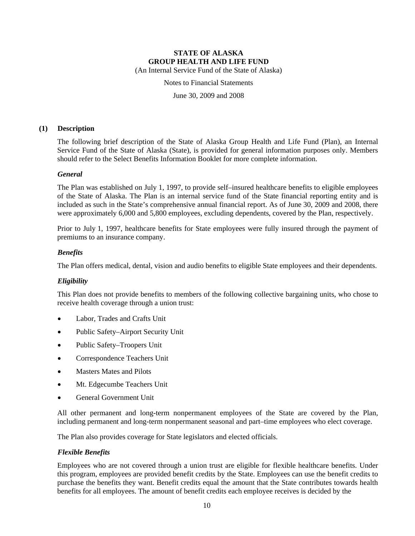Notes to Financial Statements

June 30, 2009 and 2008

#### **(1) Description**

The following brief description of the State of Alaska Group Health and Life Fund (Plan), an Internal Service Fund of the State of Alaska (State), is provided for general information purposes only. Members should refer to the Select Benefits Information Booklet for more complete information.

#### *General*

The Plan was established on July 1, 1997, to provide self–insured healthcare benefits to eligible employees of the State of Alaska. The Plan is an internal service fund of the State financial reporting entity and is included as such in the State's comprehensive annual financial report. As of June 30, 2009 and 2008, there were approximately 6,000 and 5,800 employees, excluding dependents, covered by the Plan, respectively.

Prior to July 1, 1997, healthcare benefits for State employees were fully insured through the payment of premiums to an insurance company.

#### *Benefits*

The Plan offers medical, dental, vision and audio benefits to eligible State employees and their dependents.

#### *Eligibility*

This Plan does not provide benefits to members of the following collective bargaining units, who chose to receive health coverage through a union trust:

- Labor, Trades and Crafts Unit
- Public Safety–Airport Security Unit
- Public Safety–Troopers Unit
- Correspondence Teachers Unit
- Masters Mates and Pilots
- Mt. Edgecumbe Teachers Unit
- General Government Unit

All other permanent and long-term nonpermanent employees of the State are covered by the Plan, including permanent and long-term nonpermanent seasonal and part–time employees who elect coverage.

The Plan also provides coverage for State legislators and elected officials.

#### *Flexible Benefits*

Employees who are not covered through a union trust are eligible for flexible healthcare benefits. Under this program, employees are provided benefit credits by the State. Employees can use the benefit credits to purchase the benefits they want. Benefit credits equal the amount that the State contributes towards health benefits for all employees. The amount of benefit credits each employee receives is decided by the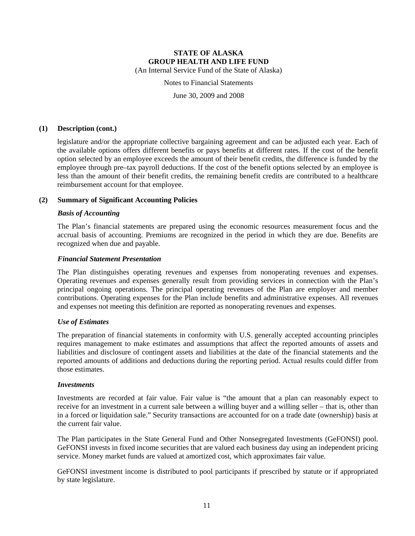Notes to Financial Statements

June 30, 2009 and 2008

#### **(1) Description (cont.)**

legislature and/or the appropriate collective bargaining agreement and can be adjusted each year. Each of the available options offers different benefits or pays benefits at different rates. If the cost of the benefit option selected by an employee exceeds the amount of their benefit credits, the difference is funded by the employee through pre–tax payroll deductions. If the cost of the benefit options selected by an employee is less than the amount of their benefit credits, the remaining benefit credits are contributed to a healthcare reimbursement account for that employee.

#### **(2) Summary of Significant Accounting Policies**

#### *Basis of Accounting*

The Plan's financial statements are prepared using the economic resources measurement focus and the accrual basis of accounting. Premiums are recognized in the period in which they are due. Benefits are recognized when due and payable.

#### *Financial Statement Presentation*

The Plan distinguishes operating revenues and expenses from nonoperating revenues and expenses. Operating revenues and expenses generally result from providing services in connection with the Plan's principal ongoing operations. The principal operating revenues of the Plan are employer and member contributions. Operating expenses for the Plan include benefits and administrative expenses. All revenues and expenses not meeting this definition are reported as nonoperating revenues and expenses.

#### *Use of Estimates*

The preparation of financial statements in conformity with U.S. generally accepted accounting principles requires management to make estimates and assumptions that affect the reported amounts of assets and liabilities and disclosure of contingent assets and liabilities at the date of the financial statements and the reported amounts of additions and deductions during the reporting period. Actual results could differ from those estimates.

#### *Investments*

Investments are recorded at fair value. Fair value is "the amount that a plan can reasonably expect to receive for an investment in a current sale between a willing buyer and a willing seller – that is, other than in a forced or liquidation sale." Security transactions are accounted for on a trade date (ownership) basis at the current fair value.

The Plan participates in the State General Fund and Other Nonsegregated Investments (GeFONSI) pool. GeFONSI invests in fixed income securities that are valued each business day using an independent pricing service. Money market funds are valued at amortized cost, which approximates fair value.

GeFONSI investment income is distributed to pool participants if prescribed by statute or if appropriated by state legislature.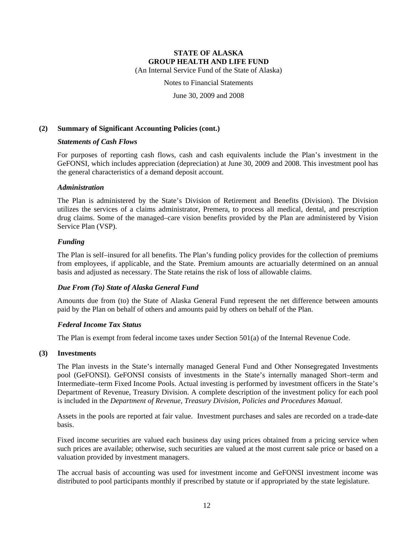Notes to Financial Statements

June 30, 2009 and 2008

#### **(2) Summary of Significant Accounting Policies (cont.)**

#### *Statements of Cash Flows*

For purposes of reporting cash flows, cash and cash equivalents include the Plan's investment in the GeFONSI, which includes appreciation (depreciation) at June 30, 2009 and 2008. This investment pool has the general characteristics of a demand deposit account.

#### *Administration*

The Plan is administered by the State's Division of Retirement and Benefits (Division). The Division utilizes the services of a claims administrator, Premera, to process all medical, dental, and prescription drug claims. Some of the managed–care vision benefits provided by the Plan are administered by Vision Service Plan (VSP).

#### *Funding*

The Plan is self–insured for all benefits. The Plan's funding policy provides for the collection of premiums from employees, if applicable, and the State. Premium amounts are actuarially determined on an annual basis and adjusted as necessary. The State retains the risk of loss of allowable claims.

#### *Due From (To) State of Alaska General Fund*

Amounts due from (to) the State of Alaska General Fund represent the net difference between amounts paid by the Plan on behalf of others and amounts paid by others on behalf of the Plan.

#### *Federal Income Tax Status*

The Plan is exempt from federal income taxes under Section 501(a) of the Internal Revenue Code.

#### **(3) Investments**

The Plan invests in the State's internally managed General Fund and Other Nonsegregated Investments pool (GeFONSI). GeFONSI consists of investments in the State's internally managed Short–term and Intermediate–term Fixed Income Pools. Actual investing is performed by investment officers in the State's Department of Revenue, Treasury Division. A complete description of the investment policy for each pool is included in the *Department of Revenue, Treasury Division, Policies and Procedures Manual*.

Assets in the pools are reported at fair value. Investment purchases and sales are recorded on a trade-date basis.

Fixed income securities are valued each business day using prices obtained from a pricing service when such prices are available; otherwise, such securities are valued at the most current sale price or based on a valuation provided by investment managers.

The accrual basis of accounting was used for investment income and GeFONSI investment income was distributed to pool participants monthly if prescribed by statute or if appropriated by the state legislature.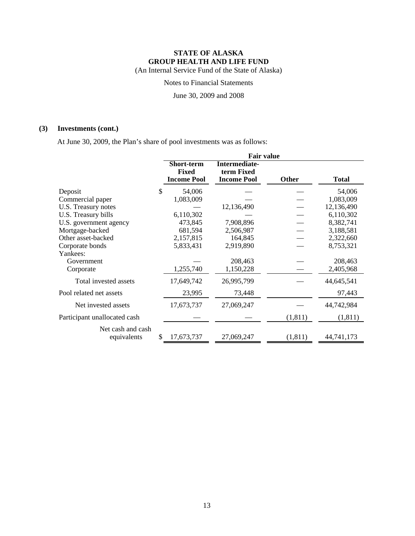Notes to Financial Statements

June 30, 2009 and 2008

## **(3) Investments (cont.)**

At June 30, 2009, the Plan's share of pool investments was as follows:

|                                  | <b>Fair value</b>                                       |                                                          |              |              |  |  |
|----------------------------------|---------------------------------------------------------|----------------------------------------------------------|--------------|--------------|--|--|
|                                  | <b>Short-term</b><br><b>Fixed</b><br><b>Income Pool</b> | <b>Intermediate-</b><br>term Fixed<br><b>Income Pool</b> | <b>Other</b> | <b>Total</b> |  |  |
| Deposit                          | 54,006<br>S                                             |                                                          |              | 54,006       |  |  |
| Commercial paper                 | 1,083,009                                               |                                                          |              | 1,083,009    |  |  |
| U.S. Treasury notes              |                                                         | 12,136,490                                               |              | 12,136,490   |  |  |
| U.S. Treasury bills              | 6,110,302                                               |                                                          |              | 6,110,302    |  |  |
| U.S. government agency           | 473,845                                                 | 7,908,896                                                |              | 8,382,741    |  |  |
| Mortgage-backed                  | 681,594                                                 | 2,506,987                                                |              | 3,188,581    |  |  |
| Other asset-backed               | 2,157,815                                               | 164,845                                                  |              | 2,322,660    |  |  |
| Corporate bonds                  | 5,833,431                                               | 2,919,890                                                |              | 8,753,321    |  |  |
| Yankees:                         |                                                         |                                                          |              |              |  |  |
| Government                       |                                                         | 208,463                                                  |              | 208,463      |  |  |
| Corporate                        | 1,255,740                                               | 1,150,228                                                |              | 2,405,968    |  |  |
| Total invested assets            | 17,649,742                                              | 26,995,799                                               |              | 44,645,541   |  |  |
| Pool related net assets          | 23,995                                                  | 73,448                                                   |              | 97,443       |  |  |
| Net invested assets              | 17,673,737                                              | 27,069,247                                               |              | 44,742,984   |  |  |
| Participant unallocated cash     |                                                         |                                                          | (1, 811)     | (1, 811)     |  |  |
| Net cash and cash<br>equivalents | 17,673,737<br>S                                         | 27,069,247                                               | (1,811)      | 44,741,173   |  |  |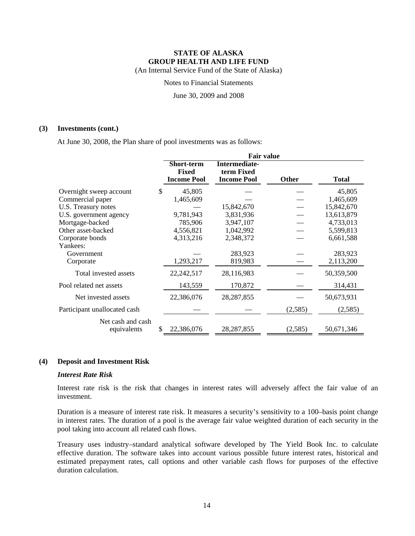Notes to Financial Statements

June 30, 2009 and 2008

#### **(3) Investments (cont.)**

At June 30, 2008, the Plan share of pool investments was as follows:

|                                       | <b>Fair value</b>                                       |                                                          |              |              |  |  |
|---------------------------------------|---------------------------------------------------------|----------------------------------------------------------|--------------|--------------|--|--|
|                                       | <b>Short-term</b><br><b>Fixed</b><br><b>Income Pool</b> | <b>Intermediate-</b><br>term Fixed<br><b>Income Pool</b> | <b>Other</b> | <b>Total</b> |  |  |
| Overnight sweep account<br>S          | 45,805                                                  |                                                          |              | 45,805       |  |  |
| Commercial paper                      | 1,465,609                                               |                                                          |              | 1,465,609    |  |  |
| U.S. Treasury notes                   |                                                         | 15,842,670                                               |              | 15,842,670   |  |  |
| U.S. government agency                | 9,781,943                                               | 3,831,936                                                |              | 13,613,879   |  |  |
| Mortgage-backed                       | 785,906                                                 | 3,947,107                                                |              | 4,733,013    |  |  |
| Other asset-backed                    | 4,556,821                                               | 1,042,992                                                |              | 5,599,813    |  |  |
| Corporate bonds                       | 4,313,216                                               | 2,348,372                                                |              | 6,661,588    |  |  |
| Yankees:                              |                                                         |                                                          |              |              |  |  |
| Government                            |                                                         | 283,923                                                  |              | 283,923      |  |  |
| Corporate                             | 1,293,217                                               | 819,983                                                  |              | 2,113,200    |  |  |
| Total invested assets                 | 22, 242, 517                                            | 28,116,983                                               |              | 50,359,500   |  |  |
| Pool related net assets               | 143,559                                                 | 170,872                                                  |              | 314,431      |  |  |
| Net invested assets                   | 22,386,076                                              | 28, 287, 855                                             |              | 50,673,931   |  |  |
| Participant unallocated cash          |                                                         |                                                          | (2,585)      | (2,585)      |  |  |
| Net cash and cash<br>equivalents<br>S | 22,386,076                                              | 28, 287, 855                                             | (2,585)      | 50,671,346   |  |  |

#### **(4) Deposit and Investment Risk**

#### *Interest Rate Risk*

Interest rate risk is the risk that changes in interest rates will adversely affect the fair value of an investment.

Duration is a measure of interest rate risk. It measures a security's sensitivity to a 100–basis point change in interest rates. The duration of a pool is the average fair value weighted duration of each security in the pool taking into account all related cash flows.

Treasury uses industry–standard analytical software developed by The Yield Book Inc. to calculate effective duration. The software takes into account various possible future interest rates, historical and estimated prepayment rates, call options and other variable cash flows for purposes of the effective duration calculation.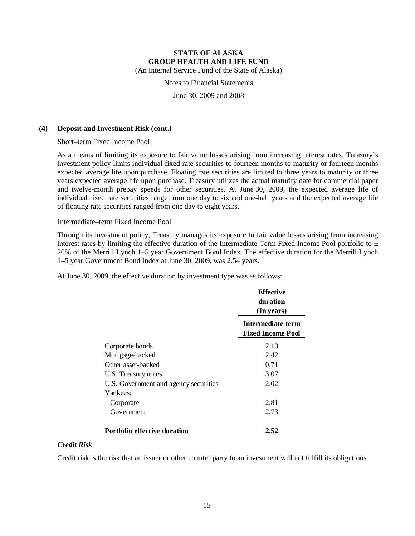Notes to Financial Statements

June 30, 2009 and 2008

#### **(4) Deposit and Investment Risk (cont.)**

#### Short–term Fixed Income Pool

As a means of limiting its exposure to fair value losses arising from increasing interest rates, Treasury's investment policy limits individual fixed rate securities to fourteen months to maturity or fourteen months expected average life upon purchase. Floating rate securities are limited to three years to maturity or three years expected average life upon purchase. Treasury utilizes the actual maturity date for commercial paper and twelve-month prepay speeds for other securities. At June 30, 2009, the expected average life of individual fixed rate securities range from one day to six and one-half years and the expected average life of floating rate securities ranged from one day to eight years.

#### Intermediate–term Fixed Income Pool

Through its investment policy, Treasury manages its exposure to fair value losses arising from increasing interest rates by limiting the effective duration of the Intermediate-Term Fixed Income Pool portfolio to  $\pm$ 20% of the Merrill Lynch 1–5 year Government Bond Index. The effective duration for the Merrill Lynch 1–5 year Government Bond Index at June 30, 2009, was 2.54 years.

At June 30, 2009, the effective duration by investment type was as follows:

|                                       | <b>Effective</b><br>duration<br>(In years)    |
|---------------------------------------|-----------------------------------------------|
|                                       | Intermediate-term<br><b>Fixed Income Pool</b> |
| Corporate bonds                       | 2.10                                          |
| Mortgage-backed                       | 2.42                                          |
| Other asset-backed                    | 0.71                                          |
| U.S. Treasury notes                   | 3.07                                          |
| U.S. Government and agency securities | 2.02                                          |
| Yankees:                              |                                               |
| Corporate                             | 2.81                                          |
| Government                            | 2.73                                          |
| Portfolio effective duration          | 2.52                                          |

#### *Credit Risk*

Credit risk is the risk that an issuer or other counter party to an investment will not fulfill its obligations.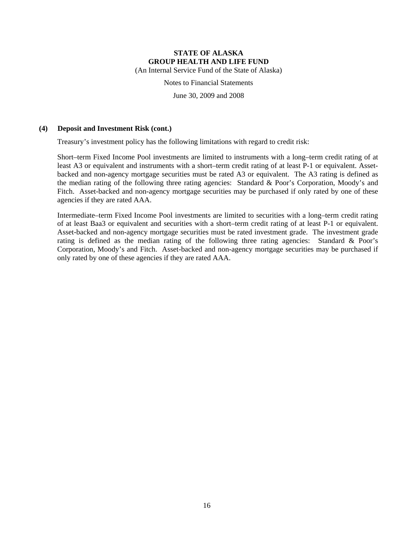Notes to Financial Statements

June 30, 2009 and 2008

#### **(4) Deposit and Investment Risk (cont.)**

Treasury's investment policy has the following limitations with regard to credit risk:

Short–term Fixed Income Pool investments are limited to instruments with a long–term credit rating of at least A3 or equivalent and instruments with a short–term credit rating of at least P-1 or equivalent. Assetbacked and non-agency mortgage securities must be rated A3 or equivalent. The A3 rating is defined as the median rating of the following three rating agencies: Standard & Poor's Corporation, Moody's and Fitch. Asset-backed and non-agency mortgage securities may be purchased if only rated by one of these agencies if they are rated AAA.

Intermediate–term Fixed Income Pool investments are limited to securities with a long–term credit rating of at least Baa3 or equivalent and securities with a short–term credit rating of at least P-1 or equivalent. Asset-backed and non-agency mortgage securities must be rated investment grade. The investment grade rating is defined as the median rating of the following three rating agencies: Standard & Poor's Corporation, Moody's and Fitch. Asset-backed and non-agency mortgage securities may be purchased if only rated by one of these agencies if they are rated AAA.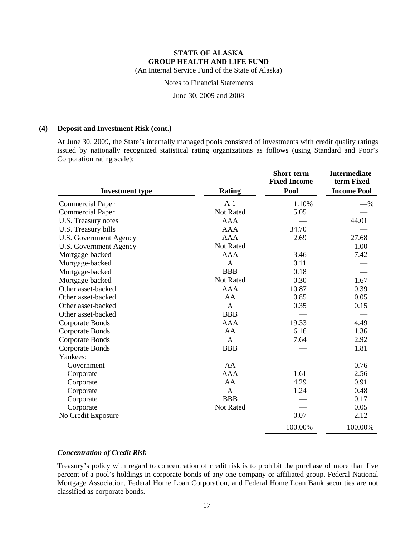Notes to Financial Statements

June 30, 2009 and 2008

#### **(4) Deposit and Investment Risk (cont.)**

At June 30, 2009, the State's internally managed pools consisted of investments with credit quality ratings issued by nationally recognized statistical rating organizations as follows (using Standard and Poor's Corporation rating scale):

| <b>Investment type</b>        | <b>Rating</b>  | Short-term<br><b>Fixed Income</b><br>Pool | Intermediate-<br>term Fixed<br><b>Income Pool</b> |
|-------------------------------|----------------|-------------------------------------------|---------------------------------------------------|
| <b>Commercial Paper</b>       | $A-1$          | 1.10%                                     | $-$ %                                             |
| <b>Commercial Paper</b>       | Not Rated      | 5.05                                      |                                                   |
| U.S. Treasury notes           | <b>AAA</b>     |                                           | 44.01                                             |
| U.S. Treasury bills           | <b>AAA</b>     | 34.70                                     |                                                   |
| <b>U.S. Government Agency</b> | <b>AAA</b>     | 2.69                                      | 27.68                                             |
| <b>U.S. Government Agency</b> | Not Rated      |                                           | 1.00                                              |
| Mortgage-backed               | <b>AAA</b>     | 3.46                                      | 7.42                                              |
| Mortgage-backed               | A              | 0.11                                      |                                                   |
| Mortgage-backed               | <b>BBB</b>     | 0.18                                      |                                                   |
| Mortgage-backed               | Not Rated      | 0.30                                      | 1.67                                              |
| Other asset-backed            | <b>AAA</b>     | 10.87                                     | 0.39                                              |
| Other asset-backed            | AA             | 0.85                                      | 0.05                                              |
| Other asset-backed            | A              | 0.35                                      | 0.15                                              |
| Other asset-backed            | <b>BBB</b>     |                                           |                                                   |
| <b>Corporate Bonds</b>        | <b>AAA</b>     | 19.33                                     | 4.49                                              |
| Corporate Bonds               | AA             | 6.16                                      | 1.36                                              |
| <b>Corporate Bonds</b>        | $\overline{A}$ | 7.64                                      | 2.92                                              |
| Corporate Bonds               | <b>BBB</b>     |                                           | 1.81                                              |
| Yankees:                      |                |                                           |                                                   |
| Government                    | AA             |                                           | 0.76                                              |
| Corporate                     | <b>AAA</b>     | 1.61                                      | 2.56                                              |
| Corporate                     | AA             | 4.29                                      | 0.91                                              |
| Corporate                     | A              | 1.24                                      | 0.48                                              |
| Corporate                     | <b>BBB</b>     |                                           | 0.17                                              |
| Corporate                     | Not Rated      |                                           | 0.05                                              |
| No Credit Exposure            |                | 0.07                                      | 2.12                                              |
|                               |                | 100.00%                                   | 100.00%                                           |

#### *Concentration of Credit Risk*

Treasury's policy with regard to concentration of credit risk is to prohibit the purchase of more than five percent of a pool's holdings in corporate bonds of any one company or affiliated group. Federal National Mortgage Association, Federal Home Loan Corporation, and Federal Home Loan Bank securities are not classified as corporate bonds.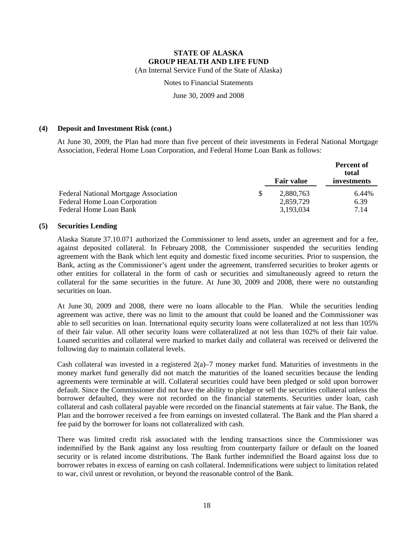Notes to Financial Statements

June 30, 2009 and 2008

#### **(4) Deposit and Investment Risk (cont.)**

At June 30, 2009, the Plan had more than five percent of their investments in Federal National Mortgage Association, Federal Home Loan Corporation, and Federal Home Loan Bank as follows:

|                                              | <b>Fair value</b> | <b>Percent of</b><br>total<br>investments |
|----------------------------------------------|-------------------|-------------------------------------------|
| <b>Federal National Mortgage Association</b> | 2,880,763         | 6.44%                                     |
| Federal Home Loan Corporation                | 2,859,729         | 6.39                                      |
| Federal Home Loan Bank                       | 3,193,034         | 7.14                                      |

#### **(5) Securities Lending**

Alaska Statute 37.10.071 authorized the Commissioner to lend assets, under an agreement and for a fee, against deposited collateral. In February 2008, the Commissioner suspended the securities lending agreement with the Bank which lent equity and domestic fixed income securities. Prior to suspension, the Bank, acting as the Commissioner's agent under the agreement, transferred securities to broker agents or other entities for collateral in the form of cash or securities and simultaneously agreed to return the collateral for the same securities in the future. At June 30, 2009 and 2008, there were no outstanding securities on loan.

At June 30, 2009 and 2008, there were no loans allocable to the Plan. While the securities lending agreement was active, there was no limit to the amount that could be loaned and the Commissioner was able to sell securities on loan. International equity security loans were collateralized at not less than 105% of their fair value. All other security loans were collateralized at not less than 102% of their fair value. Loaned securities and collateral were marked to market daily and collateral was received or delivered the following day to maintain collateral levels.

Cash collateral was invested in a registered  $2(a)$ –7 money market fund. Maturities of investments in the money market fund generally did not match the maturities of the loaned securities because the lending agreements were terminable at will. Collateral securities could have been pledged or sold upon borrower default. Since the Commissioner did not have the ability to pledge or sell the securities collateral unless the borrower defaulted, they were not recorded on the financial statements. Securities under loan, cash collateral and cash collateral payable were recorded on the financial statements at fair value. The Bank, the Plan and the borrower received a fee from earnings on invested collateral. The Bank and the Plan shared a fee paid by the borrower for loans not collateralized with cash.

There was limited credit risk associated with the lending transactions since the Commissioner was indemnified by the Bank against any loss resulting from counterparty failure or default on the loaned security or is related income distributions. The Bank further indemnified the Board against loss due to borrower rebates in excess of earning on cash collateral. Indemnifications were subject to limitation related to war, civil unrest or revolution, or beyond the reasonable control of the Bank.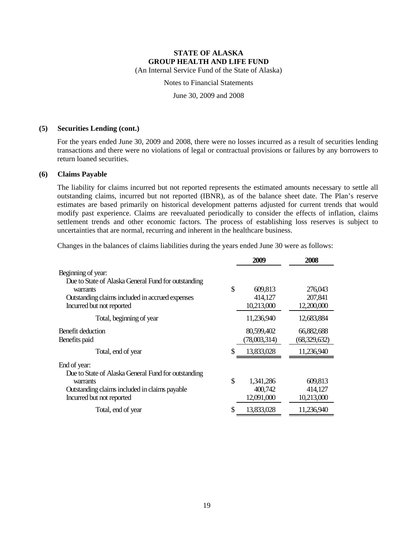Notes to Financial Statements

June 30, 2009 and 2008

#### **(5) Securities Lending (cont.)**

For the years ended June 30, 2009 and 2008, there were no losses incurred as a result of securities lending transactions and there were no violations of legal or contractual provisions or failures by any borrowers to return loaned securities.

#### **(6) Claims Payable**

The liability for claims incurred but not reported represents the estimated amounts necessary to settle all outstanding claims, incurred but not reported (IBNR), as of the balance sheet date. The Plan's reserve estimates are based primarily on historical development patterns adjusted for current trends that would modify past experience. Claims are reevaluated periodically to consider the effects of inflation, claims settlement trends and other economic factors. The process of establishing loss reserves is subject to uncertainties that are normal, recurring and inherent in the healthcare business.

Changes in the balances of claims liabilities during the years ended June 30 were as follows:

|                                                                                                                                                 | 2009                                   | 2008                             |
|-------------------------------------------------------------------------------------------------------------------------------------------------|----------------------------------------|----------------------------------|
| Beginning of year:                                                                                                                              |                                        |                                  |
| Due to State of Alaska General Fund for outstanding<br>warrants<br>Outstanding claims included in accrued expenses<br>Incurred but not reported | \$<br>609,813<br>414,127<br>10,213,000 | 276,043<br>207,841<br>12,200,000 |
| Total, beginning of year                                                                                                                        | 11,236,940                             | 12,683,884                       |
| Benefit deduction<br>Benefits paid                                                                                                              | 80,599,402<br>(78,003,314)             | 66,882,688<br>(68,329,632)       |
| Total, end of year                                                                                                                              | 13,833,028                             | 11,236,940                       |
| End of year:<br>Due to State of Alaska General Fund for outstanding<br>warrants                                                                 | \$<br>1,341,286                        | 609,813                          |
| Outstanding claims included in claims payable<br>Incurred but not reported                                                                      | 400,742<br>12,091,000                  | 414,127<br>10,213,000            |
| Total, end of year                                                                                                                              | \$<br>13,833,028                       | 11,236,940                       |